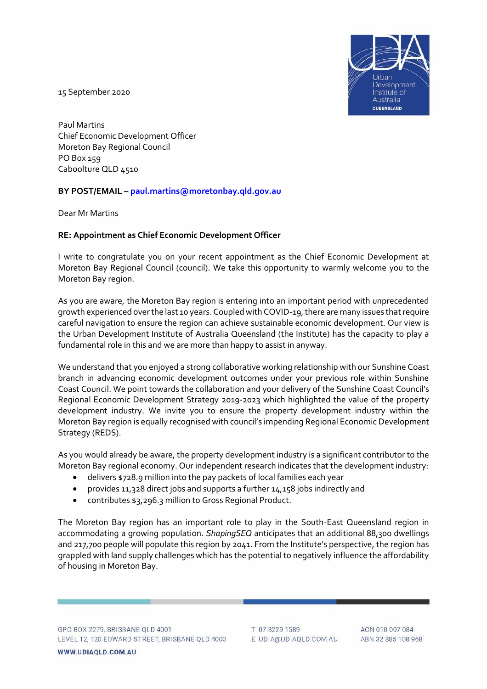

15 September 2020

Paul Martins Chief Economic Development Officer Moreton Bay Regional Council PO Box 159 Caboolture QLD 4510

## **BY POST/EMAIL – [paul.martins@moretonbay.qld.gov.au](mailto:paul.martins@moretonbay.qld.gov.au)**

Dear Mr Martins

## **RE: Appointment as Chief Economic Development Officer**

I write to congratulate you on your recent appointment as the Chief Economic Development at Moreton Bay Regional Council (council). We take this opportunity to warmly welcome you to the Moreton Bay region.

As you are aware, the Moreton Bay region is entering into an important period with unprecedented growth experienced over the last 10 years. Coupled with COVID-19, there are many issues that require careful navigation to ensure the region can achieve sustainable economic development. Our view is the Urban Development Institute of Australia Queensland (the Institute) has the capacity to play a fundamental role in this and we are more than happy to assist in anyway.

We understand that you enjoyed a strong collaborative working relationship with our Sunshine Coast branch in advancing economic development outcomes under your previous role within Sunshine Coast Council. We point towards the collaboration and your delivery of the Sunshine Coast Council's Regional Economic Development Strategy 2019-2023 which highlighted the value of the property development industry. We invite you to ensure the property development industry within the Moreton Bay region is equally recognised with council's impending Regional Economic Development Strategy (REDS).

As you would already be aware, the property development industry is a significant contributor to the Moreton Bay regional economy. Our independent research indicates that the development industry:

- delivers \$728.9 million into the pay packets of local families each year
- provides 11,328 direct jobs and supports a further 14,158 jobs indirectly and
- contributes \$3,296.3 million to Gross Regional Product.

The Moreton Bay region has an important role to play in the South-East Queensland region in accommodating a growing population. *ShapingSEQ* anticipates that an additional 88,300 dwellings and 217,700 people will populate this region by 2041. From the Institute's perspective, the region has grappled with land supply challenges which has the potential to negatively influence the affordability of housing in Moreton Bay.

T 07 3229 1589 E UDIA@UDIAQLD.COM.AU

ACN 010 007 084 ABN 32 885 108 968